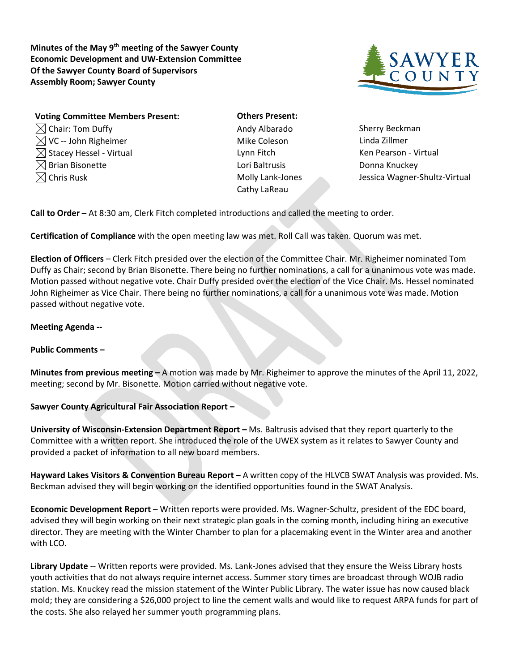**Minutes of the May 9th meeting of the Sawyer County Economic Development and UW-Extension Committee Of the Sawyer County Board of Supervisors Assembly Room; Sawyer County**



| <b>Voting Committee Members Present:</b> |
|------------------------------------------|
| $\boxtimes$ Chair: Tom Duffy             |
| $\boxtimes$ VC -- John Righeimer         |
| $\boxtimes$ Stacey Hessel - Virtual      |
| $\boxtimes$ Brian Bisonette              |
| $\boxtimes$ Chris Rusk                   |

- **Others Present:** Andy Albarado Sherry Beckman Mike Coleson Linda Zillmer Lori Baltrusis **Donna Knuckey** Cathy LaReau
- Lynn Fitch **Ken Pearson Virtual** Molly Lank-Jones Jessica Wagner-Shultz-Virtual

**Call to Order –** At 8:30 am, Clerk Fitch completed introductions and called the meeting to order.

**Certification of Compliance** with the open meeting law was met. Roll Call was taken. Quorum was met.

**Election of Officers** – Clerk Fitch presided over the election of the Committee Chair. Mr. Righeimer nominated Tom Duffy as Chair; second by Brian Bisonette. There being no further nominations, a call for a unanimous vote was made. Motion passed without negative vote. Chair Duffy presided over the election of the Vice Chair. Ms. Hessel nominated John Righeimer as Vice Chair. There being no further nominations, a call for a unanimous vote was made. Motion passed without negative vote.

## **Meeting Agenda --**

## **Public Comments –**

**Minutes from previous meeting –** A motion was made by Mr. Righeimer to approve the minutes of the April 11, 2022, meeting; second by Mr. Bisonette. Motion carried without negative vote.

## **Sawyer County Agricultural Fair Association Report –**

**University of Wisconsin-Extension Department Report –** Ms. Baltrusis advised that they report quarterly to the Committee with a written report. She introduced the role of the UWEX system as it relates to Sawyer County and provided a packet of information to all new board members.

**Hayward Lakes Visitors & Convention Bureau Report –** A written copy of the HLVCB SWAT Analysis was provided. Ms. Beckman advised they will begin working on the identified opportunities found in the SWAT Analysis.

**Economic Development Report** – Written reports were provided. Ms. Wagner-Schultz, president of the EDC board, advised they will begin working on their next strategic plan goals in the coming month, including hiring an executive director. They are meeting with the Winter Chamber to plan for a placemaking event in the Winter area and another with LCO.

**Library Update** -- Written reports were provided. Ms. Lank-Jones advised that they ensure the Weiss Library hosts youth activities that do not always require internet access. Summer story times are broadcast through WOJB radio station. Ms. Knuckey read the mission statement of the Winter Public Library. The water issue has now caused black mold; they are considering a \$26,000 project to line the cement walls and would like to request ARPA funds for part of the costs. She also relayed her summer youth programming plans.